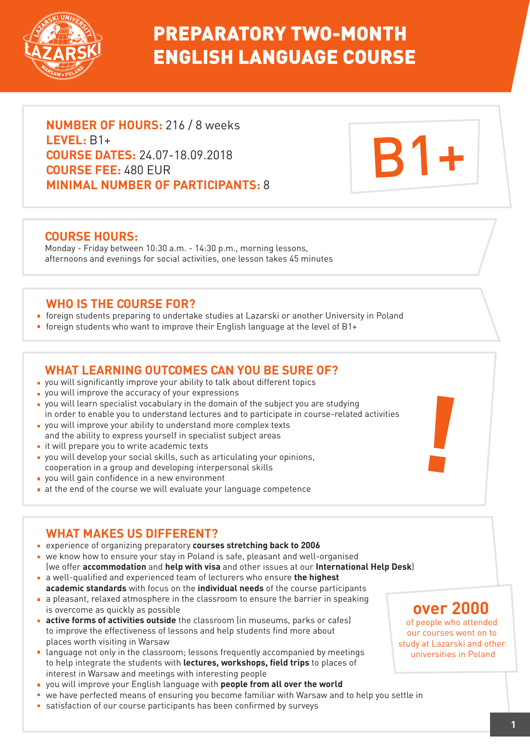

# PREPARATORY TWO-MONTH ENGLISH LANGUAGE COURSE

**NUMBER OF HOURS:** 216 / 8 weeks **LEVEL:** B1+ **COURSE DATES:** 24.07-18.09.2018 **COURSE FEE:** 480 EUR **MINIMAL NUMBER OF PARTICIPANTS:** 8

### **COURSE HOURS:**

Monday - Friday between 10:30 a.m. - 14:30 p.m., morning lessons, afternoons and evenings for social activities, one lesson takes 45 minutes

## **WHO IS THE COURSE FOR?**

- foreign students preparing to undertake studies at Lazarski or another University in Poland
- foreign students who want to improve their English language at the level of B1+

## **WHAT LEARNING OUTCOMES CAN YOU BE SURE OF?**

- you will significantly improve your ability to talk about different topics
- **p** you will improve the accuracy of your expressions
- you will learn specialist vocabulary in the domain of the subject you are studying in order to enable you to understand lectures and to participate in course-related activities
- you will improve your ability to understand more complex texts and the ability to express yourself in specialist subject areas
- $\blacksquare$  it will prepare you to write academic texts
- you will develop your social skills, such as articulating your opinions, cooperation in a group and developing interpersonal skills
- **p** you will gain confidence in a new environment
- at the end of the course we will evaluate your language competence

# **WHAT MAKES US DIFFERENT?**

- experience of organizing preparatory **courses stretching back to 2006**
- we know how to ensure your stay in Poland is safe, pleasant and well-organised
- (we offer **accommodation** and **help with visa** and other issues at our **International Help Desk**) a well-qualified and experienced team of lecturers who ensure **the highest**
- **academic standards** with focus on the **individual needs** of the course participants a pleasant, relaxed atmosphere in the classroom to ensure the barrier in speaking is overcome as quickly as possible
- **active forms of activities outside** the classroom (in museums, parks or cafes) to improve the effectiveness of lessons and help students find more about places worth visiting in Warsaw
- **E** language not only in the classroom; lessons frequently accompanied by meetings to help integrate the students with **lectures, workshops, field trips** to places of interest in Warsaw and meetings with interesting people
- you will improve your English language with **people from all over the world**
- we have perfected means of ensuring you become familiar with Warsaw and to help you settle in
- satisfaction of our course participants has been confirmed by surveys

# **over 2000**

**B1+** 

of people who attended our courses went on to study at Lazarski and other universities in Poland